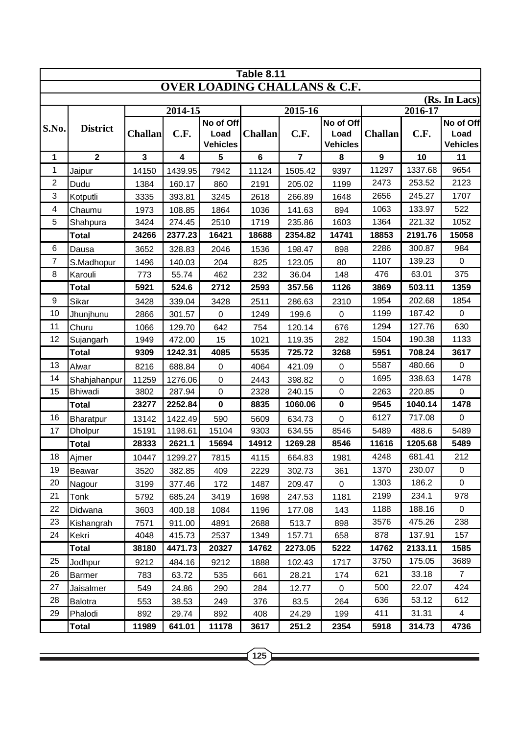| <b>Table 8.11</b>                       |                 |                |         |                         |                |                |                         |                |         |                         |  |  |
|-----------------------------------------|-----------------|----------------|---------|-------------------------|----------------|----------------|-------------------------|----------------|---------|-------------------------|--|--|
| <b>OVER LOADING CHALLANS &amp; C.F.</b> |                 |                |         |                         |                |                |                         |                |         |                         |  |  |
|                                         |                 |                |         |                         |                |                |                         | (Rs. In Lacs)  |         |                         |  |  |
|                                         |                 |                | 2014-15 |                         |                | 2015-16        |                         |                | 2016-17 |                         |  |  |
| S.No.                                   | <b>District</b> |                |         | No of Off               |                |                | No of Off               |                |         | No of Off               |  |  |
|                                         |                 | <b>Challan</b> | C.F.    | Load<br><b>Vehicles</b> | <b>Challan</b> | C.F.           | Load<br><b>Vehicles</b> | <b>Challan</b> | C.F.    | Load<br><b>Vehicles</b> |  |  |
| 1                                       | $\overline{2}$  | $\mathbf{3}$   | 4       | 5                       | $6\phantom{1}$ | $\overline{7}$ | 8                       | $\mathbf{9}$   | 10      | 11                      |  |  |
| $\mathbf 1$                             | Jaipur          | 14150          | 1439.95 | 7942                    | 11124          | 1505.42        | 9397                    | 11297          | 1337.68 | 9654                    |  |  |
| $\overline{2}$                          | Dudu            | 1384           | 160.17  | 860                     | 2191           | 205.02         | 1199                    | 2473           | 253.52  | 2123                    |  |  |
| 3                                       | Kotputli        | 3335           | 393.81  | 3245                    | 2618           | 266.89         | 1648                    | 2656           | 245.27  | 1707                    |  |  |
| $\overline{\mathcal{A}}$                | Chaumu          | 1973           | 108.85  | 1864                    | 1036           | 141.63         | 894                     | 1063           | 133.97  | 522                     |  |  |
| 5                                       | Shahpura        | 3424           | 274.45  | 2510                    | 1719           | 235.86         | 1603                    | 1364           | 221.32  | 1052                    |  |  |
|                                         | <b>Total</b>    | 24266          | 2377.23 | 16421                   | 18688          | 2354.82        | 14741                   | 18853          | 2191.76 | 15058                   |  |  |
| 6                                       | Dausa           | 3652           | 328.83  | 2046                    | 1536           | 198.47         | 898                     | 2286           | 300.87  | 984                     |  |  |
| 7                                       | S.Madhopur      | 1496           | 140.03  | 204                     | 825            | 123.05         | 80                      | 1107           | 139.23  | $\mathbf 0$             |  |  |
| 8                                       | Karouli         | 773            | 55.74   | 462                     | 232            | 36.04          | 148                     | 476            | 63.01   | 375                     |  |  |
|                                         | <b>Total</b>    | 5921           | 524.6   | 2712                    | 2593           | 357.56         | 1126                    | 3869           | 503.11  | 1359                    |  |  |
| 9                                       | Sikar           | 3428           | 339.04  | 3428                    | 2511           | 286.63         | 2310                    | 1954           | 202.68  | 1854                    |  |  |
| 10                                      | Jhunjhunu       | 2866           | 301.57  | $\pmb{0}$               | 1249           | 199.6          | $\pmb{0}$               | 1199           | 187.42  | 0                       |  |  |
| 11                                      | Churu           | 1066           | 129.70  | 642                     | 754            | 120.14         | 676                     | 1294           | 127.76  | 630                     |  |  |
| 12                                      | Sujangarh       | 1949           | 472.00  | 15                      | 1021           | 119.35         | 282                     | 1504           | 190.38  | 1133                    |  |  |
|                                         | <b>Total</b>    | 9309           | 1242.31 | 4085                    | 5535           | 725.72         | 3268                    | 5951           | 708.24  | 3617                    |  |  |
| 13                                      | Alwar           | 8216           | 688.84  | $\mathbf 0$             | 4064           | 421.09         | 0                       | 5587           | 480.66  | $\mathbf 0$             |  |  |
| 14                                      | Shahjahanpur    | 11259          | 1276.06 | $\pmb{0}$               | 2443           | 398.82         | $\pmb{0}$               | 1695           | 338.63  | 1478                    |  |  |
| 15                                      | Bhiwadi         | 3802           | 287.94  | $\mathbf 0$             | 2328           | 240.15         | $\pmb{0}$               | 2263           | 220.85  | $\pmb{0}$               |  |  |
|                                         | <b>Total</b>    | 23277          | 2252.84 | $\mathbf 0$             | 8835           | 1060.06        | $\mathbf 0$             | 9545           | 1040.14 | 1478                    |  |  |
| 16                                      | Bharatpur       | 13142          | 1422.49 | 590                     | 5609           | 634.73         | $\mathbf 0$             | 6127           | 717.08  | $\pmb{0}$               |  |  |
| 17                                      | <b>Dholpur</b>  | 15191          | 1198.61 | 15104                   | 9303           | 634.55         | 8546                    | 5489           | 488.6   | 5489                    |  |  |
|                                         | <b>Total</b>    | 28333          | 2621.1  | 15694                   | 14912          | 1269.28        | 8546                    | 11616          | 1205.68 | 5489                    |  |  |
| 18                                      | Ajmer           | 10447          | 1299.27 | 7815                    | 4115           | 664.83         | 1981                    | 4248           | 681.41  | 212                     |  |  |
| 19                                      | <b>Beawar</b>   | 3520           | 382.85  | 409                     | 2229           | 302.73         | 361                     | 1370           | 230.07  | $\mathbf 0$             |  |  |
| 20                                      | Nagour          | 3199           | 377.46  | 172                     | 1487           | 209.47         | $\mathsf 0$             | 1303           | 186.2   | $\mathbf 0$             |  |  |
| 21                                      | Tonk            | 5792           | 685.24  | 3419                    | 1698           | 247.53         | 1181                    | 2199           | 234.1   | 978                     |  |  |
| 22                                      | Didwana         | 3603           | 400.18  | 1084                    | 1196           | 177.08         | 143                     | 1188           | 188.16  | $\mathbf 0$             |  |  |
| 23                                      | Kishangrah      | 7571           | 911.00  | 4891                    | 2688           | 513.7          | 898                     | 3576           | 475.26  | 238                     |  |  |
| 24                                      | Kekri           | 4048           | 415.73  | 2537                    | 1349           | 157.71         | 658                     | 878            | 137.91  | 157                     |  |  |
|                                         | <b>Total</b>    | 38180          | 4471.73 | 20327                   | 14762          | 2273.05        | 5222                    | 14762          | 2133.11 | 1585                    |  |  |
| 25                                      | Jodhpur         | 9212           | 484.16  | 9212                    | 1888           | 102.43         | 1717                    | 3750           | 175.05  | 3689                    |  |  |
| 26                                      | Barmer          | 783            | 63.72   | 535                     | 661            | 28.21          | 174                     | 621            | 33.18   | $\overline{7}$          |  |  |
| 27                                      | Jaisalmer       | 549            | 24.86   | 290                     | 284            | 12.77          | 0                       | 500            | 22.07   | 424                     |  |  |
| 28                                      | Balotra         | 553            | 38.53   | 249                     | 376            | 83.5           | 264                     | 636            | 53.12   | 612                     |  |  |
| 29                                      | Phalodi         | 892            | 29.74   | 892                     | 408            | 24.29          | 199                     | 411            | 31.31   | $\overline{4}$          |  |  |
|                                         | Total           | 11989          | 641.01  | 11178                   | 3617           | 251.2          | 2354                    | 5918           | 314.73  | 4736                    |  |  |